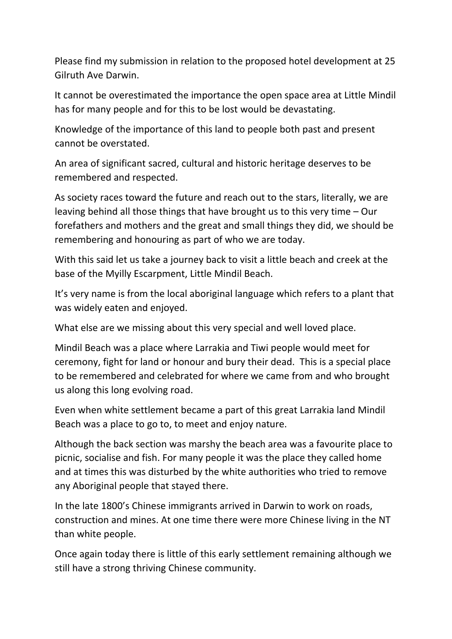Please find my submission in relation to the proposed hotel development at 25 Gilruth Ave Darwin.

It cannot be overestimated the importance the open space area at Little Mindil has for many people and for this to be lost would be devastating.

Knowledge of the importance of this land to people both past and present cannot be overstated.

An area of significant sacred, cultural and historic heritage deserves to be remembered and respected.

As society races toward the future and reach out to the stars, literally, we are leaving behind all those things that have brought us to this very time – Our forefathers and mothers and the great and small things they did, we should be remembering and honouring as part of who we are today.

With this said let us take a journey back to visit a little beach and creek at the base of the Myilly Escarpment, Little Mindil Beach.

It's very name is from the local aboriginal language which refers to a plant that was widely eaten and enjoyed.

What else are we missing about this very special and well loved place.

Mindil Beach was a place where Larrakia and Tiwi people would meet for ceremony, fight for land or honour and bury their dead. This is a special place to be remembered and celebrated for where we came from and who brought us along this long evolving road.

Even when white settlement became a part of this great Larrakia land Mindil Beach was a place to go to, to meet and enjoy nature.

Although the back section was marshy the beach area was a favourite place to picnic, socialise and fish. For many people it was the place they called home and at times this was disturbed by the white authorities who tried to remove any Aboriginal people that stayed there.

In the late 1800's Chinese immigrants arrived in Darwin to work on roads, construction and mines. At one time there were more Chinese living in the NT than white people.

Once again today there is little of this early settlement remaining although we still have a strong thriving Chinese community.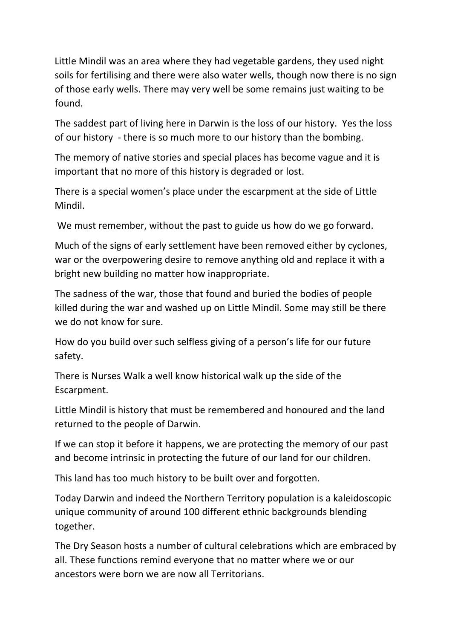Little Mindil was an area where they had vegetable gardens, they used night soils for fertilising and there were also water wells, though now there is no sign of those early wells. There may very well be some remains just waiting to be found.

The saddest part of living here in Darwin is the loss of our history. Yes the loss of our history ‐ there is so much more to our history than the bombing.

The memory of native stories and special places has become vague and it is important that no more of this history is degraded or lost.

There is a special women's place under the escarpment at the side of Little Mindil.

We must remember, without the past to guide us how do we go forward.

Much of the signs of early settlement have been removed either by cyclones, war or the overpowering desire to remove anything old and replace it with a bright new building no matter how inappropriate.

The sadness of the war, those that found and buried the bodies of people killed during the war and washed up on Little Mindil. Some may still be there we do not know for sure.

How do you build over such selfless giving of a person's life for our future safety.

There is Nurses Walk a well know historical walk up the side of the Escarpment.

Little Mindil is history that must be remembered and honoured and the land returned to the people of Darwin.

If we can stop it before it happens, we are protecting the memory of our past and become intrinsic in protecting the future of our land for our children.

This land has too much history to be built over and forgotten.

Today Darwin and indeed the Northern Territory population is a kaleidoscopic unique community of around 100 different ethnic backgrounds blending together.

The Dry Season hosts a number of cultural celebrations which are embraced by all. These functions remind everyone that no matter where we or our ancestors were born we are now all Territorians.